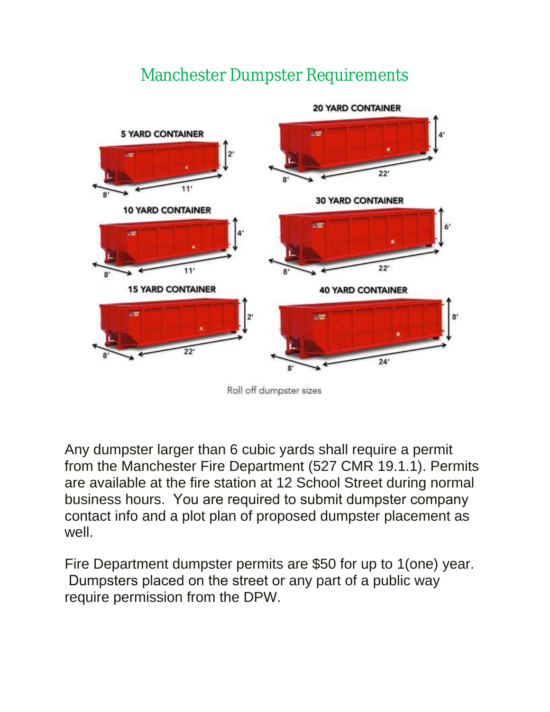## Manchester Dumpster Requirements



Roll off dumpster sizes

Any dumpster larger than 6 cubic yards shall require a permit from the Manchester Fire Department (527 CMR 19.1.1). Permits are available at the fire station at 12 School Street during normal business hours. You are required to submit dumpster company contact info and a plot plan of proposed dumpster placement as well.

Fire Department dumpster permits are \$50 for up to 1(one) year. Dumpsters placed on the street or any part of a public way require permission from the DPW.